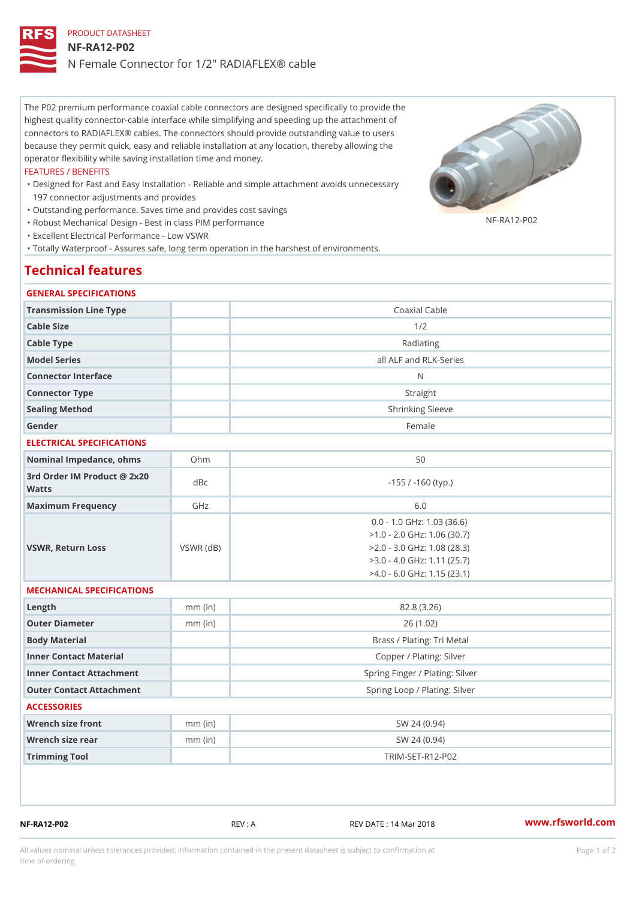# PRODUCT DATASHEET NF-RA12-P02 N Female Connector for 1/2" RADIAFLEX® cable

The P02 premium performance coaxial cable connectors are designed specifically to provide the highest quality connector-cable interface while simplifying and speeding up the attachment of connectors to RADIAFLEX® cables. The connectors should provide outstanding value to users because they permit quick, easy and reliable installation at any location, thereby allowing the operator flexibility while saving installation time and money.

#### FEATURES / BENEFITS

- Designed for Fast and Easy Installation Reliable and simple attachment avoids unnecessary " 197 connector adjustments and provides
- "Outstanding performance. Saves time and provides cost savings
- "Robust Mechanical Design Best in class PIM performance

"Excellent Electrical Performance - Low VSWR

"Totally Waterproof - Assures safe, long term operation in the harshest of environments.

# Technical features

### GENERAL SPECIFICATIONS

| Transmission Line Type                      |                 | Coaxial Cable                                                                                                                                                      |  |
|---------------------------------------------|-----------------|--------------------------------------------------------------------------------------------------------------------------------------------------------------------|--|
| Cable Size                                  |                 | 1/2                                                                                                                                                                |  |
| Cable Type                                  |                 | Radiating                                                                                                                                                          |  |
| Model Series                                |                 | all ALF and RLK-Series                                                                                                                                             |  |
| Connector Interface                         |                 | N                                                                                                                                                                  |  |
| Connector Type                              |                 | Straight                                                                                                                                                           |  |
| Sealing Method                              |                 | Shrinking Sleeve                                                                                                                                                   |  |
| Gender                                      |                 | Female                                                                                                                                                             |  |
| ELECTRICAL SPECIFICATIONS                   |                 |                                                                                                                                                                    |  |
| Nominal Impedance, ohins Ohm                |                 | 50                                                                                                                                                                 |  |
| 3rd Order IM Product @ 2x20<br>dBc<br>Watts |                 | $-155$ / $-160$ (typ.)                                                                                                                                             |  |
| Maximum Frequency                           | GHz             | 6.0                                                                                                                                                                |  |
| VSWR, Return Loss                           | $VSWR$ ( $dB$ ) | $0.0 - 1.0$ GHz: $1.03$ (36.6)<br>$>1.0 - 2.0$ GHz: 1.06 (30.7)<br>$>2.0 - 3.0$ GHz: 1.08 (28.3)<br>$>3.0 - 4.0$ GHz: 1.11 (25.7)<br>$>4.0 - 6.0$ GHz: 1.15 (23.1) |  |
| MECHANICAL SPECIFICATIONS                   |                 |                                                                                                                                                                    |  |
| $L$ ength                                   | $mm$ (in)       | 82.8(3.26)                                                                                                                                                         |  |
| Outer Diameter                              | $mm$ (in)       | 26(1.02)                                                                                                                                                           |  |
| Body Material                               |                 | Brass / Plating: Tri Metal                                                                                                                                         |  |
| Inner Contact Material                      |                 | Copper / Plating: Silver                                                                                                                                           |  |
| Inner Contact Attachment                    |                 | Spring Finger / Plating: Silver                                                                                                                                    |  |
| Outer Contact Attachment                    |                 | Spring Loop / Plating: Silver                                                                                                                                      |  |
| <b>ACCESSORIES</b>                          |                 |                                                                                                                                                                    |  |
| Wrench size front                           | $mm$ (in)       | SW 24 (0.94)                                                                                                                                                       |  |
| Wrench size rear                            | $mm$ (in)       | SW 24 (0.94)                                                                                                                                                       |  |
| Trimming Tool                               |                 | $TRIM-SET-RA12-PO2$                                                                                                                                                |  |
|                                             |                 |                                                                                                                                                                    |  |

NF-RA12-P02 REV : A REV DATE : 14 Mar 2018 [www.](https://www.rfsworld.com)rfsworld.com

NF-RA12-P02